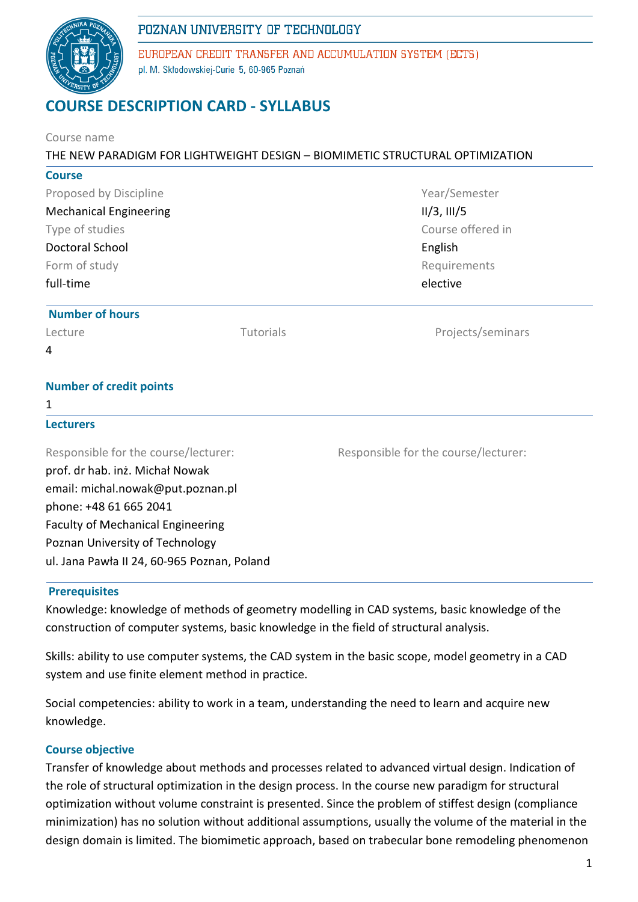# POZNAN UNIVERSITY OF TECHNOLOGY



EUROPEAN CREDIT TRANSFER AND ACCUMULATION SYSTEM (ECTS) pl. M. Skłodowskiej-Curie 5, 60-965 Poznań

# **COURSE DESCRIPTION CARD - SYLLABUS**

| Course name                                                                                                           |           |                                      |  |              |  |  |
|-----------------------------------------------------------------------------------------------------------------------|-----------|--------------------------------------|--|--------------|--|--|
| THE NEW PARADIGM FOR LIGHTWEIGHT DESIGN - BIOMIMETIC STRUCTURAL OPTIMIZATION                                          |           |                                      |  |              |  |  |
| <b>Course</b>                                                                                                         |           |                                      |  |              |  |  |
| Proposed by Discipline<br><b>Mechanical Engineering</b><br>Type of studies<br><b>Doctoral School</b><br>Form of study |           | Year/Semester                        |  |              |  |  |
|                                                                                                                       |           | II/3, III/5                          |  |              |  |  |
|                                                                                                                       |           | Course offered in<br>English         |  |              |  |  |
|                                                                                                                       |           |                                      |  | Requirements |  |  |
|                                                                                                                       |           | full-time                            |  | elective     |  |  |
| <b>Number of hours</b>                                                                                                |           |                                      |  |              |  |  |
| Lecture                                                                                                               | Tutorials | Projects/seminars                    |  |              |  |  |
| 4                                                                                                                     |           |                                      |  |              |  |  |
| <b>Number of credit points</b>                                                                                        |           |                                      |  |              |  |  |
| 1                                                                                                                     |           |                                      |  |              |  |  |
| <b>Lecturers</b>                                                                                                      |           |                                      |  |              |  |  |
| Responsible for the course/lecturer:                                                                                  |           | Responsible for the course/lecturer: |  |              |  |  |
| prof. dr hab. inż. Michał Nowak                                                                                       |           |                                      |  |              |  |  |
| email: michal.nowak@put.poznan.pl                                                                                     |           |                                      |  |              |  |  |
| phone: +48 61 665 2041                                                                                                |           |                                      |  |              |  |  |
| <b>Faculty of Mechanical Engineering</b>                                                                              |           |                                      |  |              |  |  |
| Poznan University of Technology                                                                                       |           |                                      |  |              |  |  |
| ul. Jana Pawła II 24, 60-965 Poznan, Poland                                                                           |           |                                      |  |              |  |  |
|                                                                                                                       |           |                                      |  |              |  |  |

#### **Prerequisites**

Knowledge: knowledge of methods of geometry modelling in CAD systems, basic knowledge of the construction of computer systems, basic knowledge in the field of structural analysis.

Skills: ability to use computer systems, the CAD system in the basic scope, model geometry in a CAD system and use finite element method in practice.

Social competencies: ability to work in a team, understanding the need to learn and acquire new knowledge.

### **Course objective**

Transfer of knowledge about methods and processes related to advanced virtual design. Indication of the role of structural optimization in the design process. In the course new paradigm for structural optimization without volume constraint is presented. Since the problem of stiffest design (compliance minimization) has no solution without additional assumptions, usually the volume of the material in the design domain is limited. The biomimetic approach, based on trabecular bone remodeling phenomenon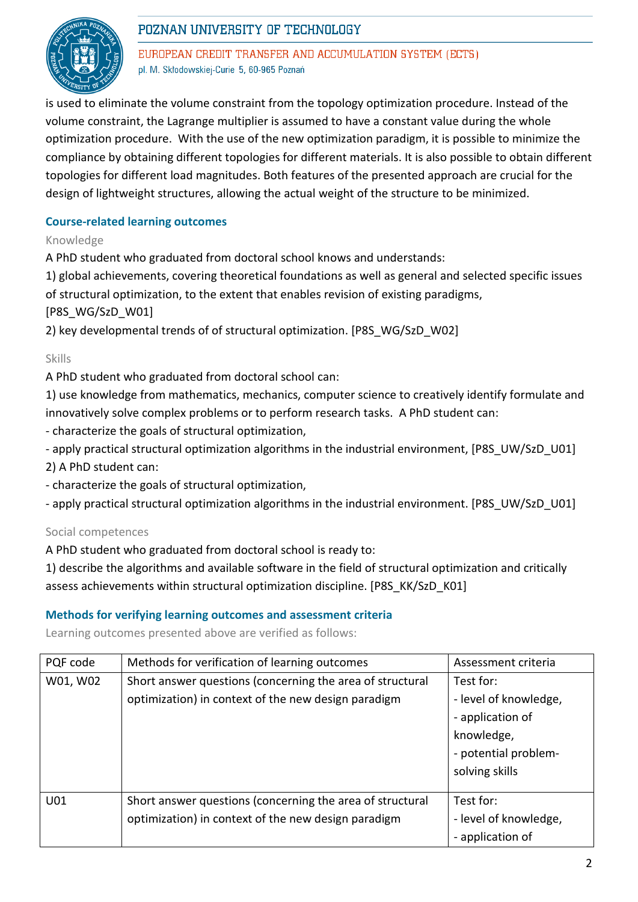



EUROPEAN CREDIT TRANSFER AND ACCUMULATION SYSTEM (ECTS) pl. M. Skłodowskiej-Curie 5, 60-965 Poznań

is used to eliminate the volume constraint from the topology optimization procedure. Instead of the volume constraint, the Lagrange multiplier is assumed to have a constant value during the whole optimization procedure. With the use of the new optimization paradigm, it is possible to minimize the compliance by obtaining different topologies for different materials. It is also possible to obtain different topologies for different load magnitudes. Both features of the presented approach are crucial for the design of lightweight structures, allowing the actual weight of the structure to be minimized.

## **Course-related learning outcomes**

Knowledge

A PhD student who graduated from doctoral school knows and understands:

1) global achievements, covering theoretical foundations as well as general and selected specific issues of structural optimization, to the extent that enables revision of existing paradigms,

[P8S\_WG/SzD\_W01]

2) key developmental trends of of structural optimization. [P8S\_WG/SzD\_W02]

#### Skills

A PhD student who graduated from doctoral school can:

1) use knowledge from mathematics, mechanics, computer science to creatively identify formulate and innovatively solve complex problems or to perform research tasks. A PhD student can:

- characterize the goals of structural optimization,
- apply practical structural optimization algorithms in the industrial environment, [P8S\_UW/SzD\_U01]

2) A PhD student can:

- characterize the goals of structural optimization,

- apply practical structural optimization algorithms in the industrial environment. [P8S\_UW/SzD\_U01]

Social competences

A PhD student who graduated from doctoral school is ready to:

1) describe the algorithms and available software in the field of structural optimization and critically assess achievements within structural optimization discipline. [P8S\_KK/SzD\_K01]

### **Methods for verifying learning outcomes and assessment criteria**

Learning outcomes presented above are verified as follows:

| PQF code | Methods for verification of learning outcomes             | Assessment criteria   |
|----------|-----------------------------------------------------------|-----------------------|
| W01, W02 | Short answer questions (concerning the area of structural | Test for:             |
|          | optimization) in context of the new design paradigm       | - level of knowledge, |
|          |                                                           | - application of      |
|          |                                                           | knowledge,            |
|          |                                                           | - potential problem-  |
|          |                                                           | solving skills        |
|          |                                                           |                       |
| U01      | Short answer questions (concerning the area of structural | Test for:             |
|          | optimization) in context of the new design paradigm       | - level of knowledge, |
|          |                                                           | - application of      |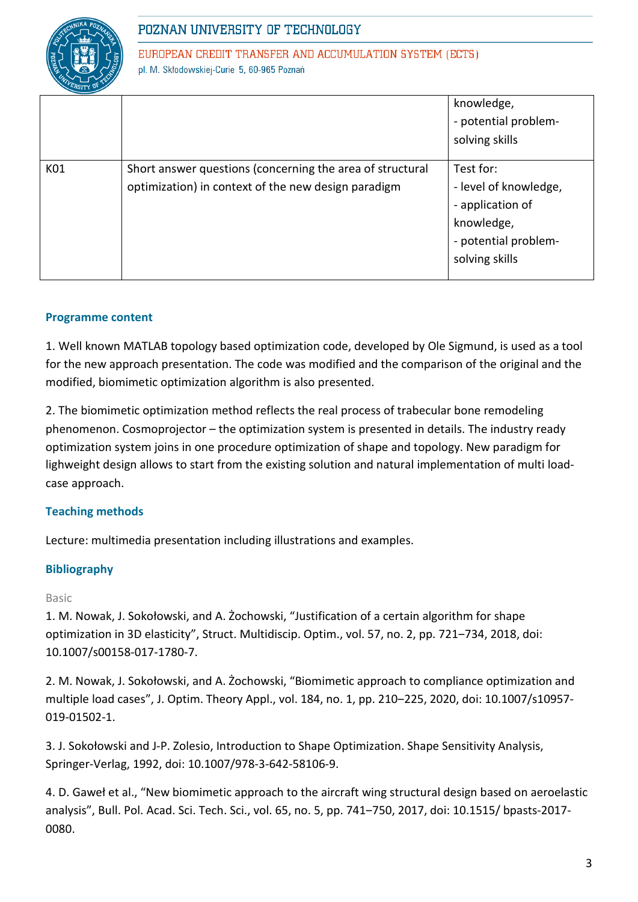

EUROPEAN CREDIT TRANSFER AND ACCUMULATION SYSTEM (ECTS) pl. M. Skłodowskiej-Curie 5, 60-965 Poznań

|     |                                                                                                                  | knowledge,<br>- potential problem-<br>solving skills                                                           |
|-----|------------------------------------------------------------------------------------------------------------------|----------------------------------------------------------------------------------------------------------------|
| K01 | Short answer questions (concerning the area of structural<br>optimization) in context of the new design paradigm | Test for:<br>- level of knowledge,<br>- application of<br>knowledge,<br>- potential problem-<br>solving skills |

### **Programme content**

1. Well known MATLAB topology based optimization code, developed by Ole Sigmund, is used as a tool for the new approach presentation. The code was modified and the comparison of the original and the modified, biomimetic optimization algorithm is also presented.

2. The biomimetic optimization method reflects the real process of trabecular bone remodeling phenomenon. Cosmoprojector – the optimization system is presented in details. The industry ready optimization system joins in one procedure optimization of shape and topology. New paradigm for lighweight design allows to start from the existing solution and natural implementation of multi loadcase approach.

### **Teaching methods**

Lecture: multimedia presentation including illustrations and examples.

### **Bibliography**

### Basic

1. M. Nowak, J. Sokołowski, and A. Żochowski, "Justification of a certain algorithm for shape optimization in 3D elasticity", Struct. Multidiscip. Optim., vol. 57, no. 2, pp. 721-734, 2018, doi: 10.1007/s00158-017-1780-7.

2. M. Nowak, J. Sokołowski, and A. Żochowski, "Biomimetic approach to compliance optimization and multiple load cases", J. Optim. Theory Appl., vol. 184, no. 1, pp. 210-225, 2020, doi: 10.1007/s10957-019-01502-1.

3. J. Sokołowski and J-P. Zolesio, Introduction to Shape Optimization. Shape Sensitivity Analysis, Springer-Verlag, 1992, doi: 10.1007/978-3-642-58106-9.

4. D. Gaweł et al., "New biomimetic approach to the aircraft wing structural design based on aeroelastic analysis", Bull. Pol. Acad. Sci. Tech. Sci., vol. 65, no. 5, pp. 741‒750, 2017, doi: 10.1515/ bpasts-2017- 0080.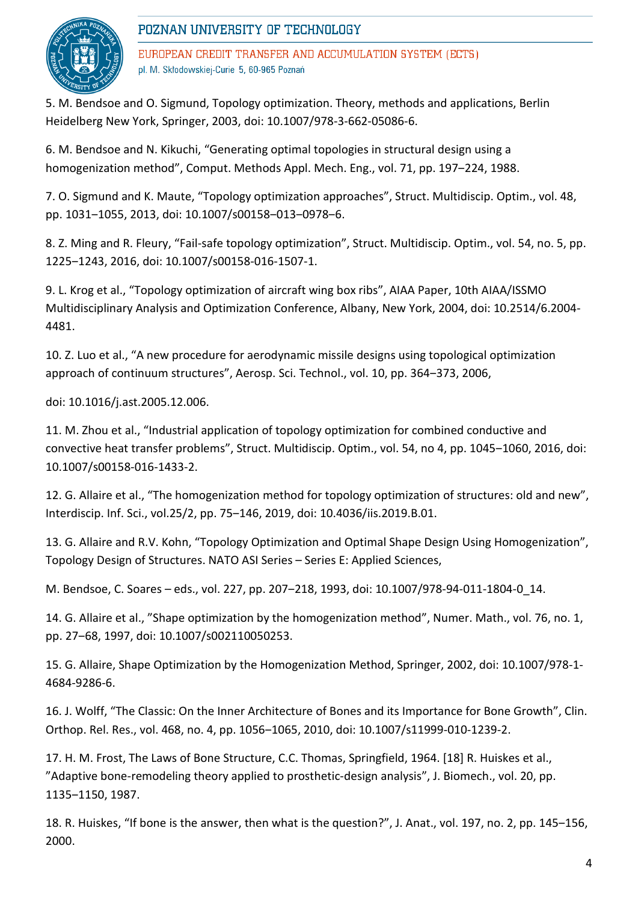# POZNAN UNIVERSITY OF TECHNOLOGY

EUROPEAN CREDIT TRANSFER AND ACCUMULATION SYSTEM (ECTS) pl. M. Skłodowskiej-Curie 5, 60-965 Poznań

5. M. Bendsoe and O. Sigmund, Topology optimization. Theory, methods and applications, Berlin Heidelberg New York, Springer, 2003, doi: 10.1007/978-3-662-05086-6.

6. M. Bendsoe and N. Kikuchi, "Generating optimal topologies in structural design using a homogenization method", Comput. Methods Appl. Mech. Eng., vol. 71, pp. 197–224, 1988.

7. O. Sigmund and K. Maute, "Topology optimization approaches", Struct. Multidiscip. Optim., vol. 48, pp. 1031-1055, 2013, doi: 10.1007/s00158-013-0978-6.

8. Z. Ming and R. Fleury, "Fail-safe topology optimization", Struct. Multidiscip. Optim., vol. 54, no. 5, pp. 1225‒1243, 2016, doi: 10.1007/s00158-016-1507-1.

9. L. Krog et al., "Topology optimization of aircraft wing box ribs", AIAA Paper, 10th AIAA/ISSMO Multidisciplinary Analysis and Optimization Conference, Albany, New York, 2004, doi: 10.2514/6.2004- 4481.

10. Z. Luo et al., "A new procedure for aerodynamic missile designs using topological optimization approach of continuum structures", Aerosp. Sci. Technol., vol. 10, pp. 364-373, 2006,

doi: 10.1016/j.ast.2005.12.006.

11. M. Zhou et al., "Industrial application of topology optimization for combined conductive and convective heat transfer problems", Struct. Multidiscip. Optim., vol. 54, no 4, pp. 1045–1060, 2016, doi: 10.1007/s00158-016-1433-2.

12. G. Allaire et al., "The homogenization method for topology optimization of structures: old and new", Interdiscip. Inf. Sci., vol.25/2, pp. 75‒146, 2019, doi: 10.4036/iis.2019.B.01.

13. G. Allaire and R.V. Kohn, "Topology Optimization and Optimal Shape Design Using Homogenization", Topology Design of Structures. NATO ASI Series – Series E: Applied Sciences,

M. Bendsoe, C. Soares - eds., vol. 227, pp. 207-218, 1993, doi: 10.1007/978-94-011-1804-0\_14.

14. G. Allaire et al., "Shape optimization by the homogenization method", Numer. Math., vol. 76, no. 1, pp. 27‒68, 1997, doi: 10.1007/s002110050253.

15. G. Allaire, Shape Optimization by the Homogenization Method, Springer, 2002, doi: 10.1007/978-1- 4684-9286-6.

16. J. Wolff, "The Classic: On the Inner Architecture of Bones and its Importance for Bone Growth", Clin. Orthop. Rel. Res., vol. 468, no. 4, pp. 1056–1065, 2010, doi: 10.1007/s11999-010-1239-2.

17. H. M. Frost, The Laws of Bone Structure, C.C. Thomas, Springfield, 1964. [18] R. Huiskes et al., "Adaptive bone-remodeling theory applied to prosthetic-design analysis", J. Biomech., vol. 20, pp. 1135‒1150, 1987.

18. R. Huiskes, "If bone is the answer, then what is the question?", J. Anat., vol. 197, no. 2, pp. 145–156, 2000.